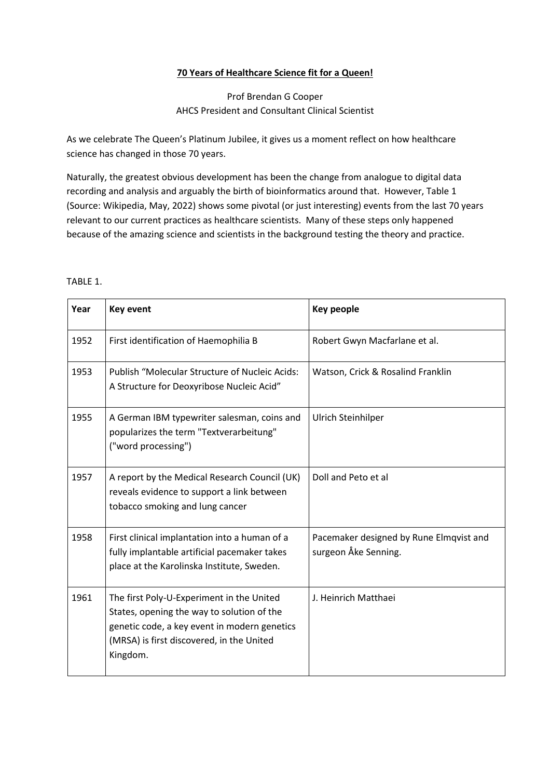## **70 Years of Healthcare Science fit for a Queen!**

## Prof Brendan G Cooper AHCS President and Consultant Clinical Scientist

As we celebrate The Queen's Platinum Jubilee, it gives us a moment reflect on how healthcare science has changed in those 70 years.

Naturally, the greatest obvious development has been the change from analogue to digital data recording and analysis and arguably the birth of bioinformatics around that. However, Table 1 (Source: Wikipedia, May, 2022) shows some pivotal (or just interesting) events from the last 70 years relevant to our current practices as healthcare scientists. Many of these steps only happened because of the amazing science and scientists in the background testing the theory and practice.

## TABLE 1.

| Year | <b>Key event</b>                                                                                                                                                                                 | <b>Key people</b>                                               |
|------|--------------------------------------------------------------------------------------------------------------------------------------------------------------------------------------------------|-----------------------------------------------------------------|
| 1952 | First identification of Haemophilia B                                                                                                                                                            | Robert Gwyn Macfarlane et al.                                   |
| 1953 | Publish "Molecular Structure of Nucleic Acids:<br>A Structure for Deoxyribose Nucleic Acid"                                                                                                      | Watson, Crick & Rosalind Franklin                               |
| 1955 | A German IBM typewriter salesman, coins and<br>popularizes the term "Textverarbeitung"<br>("word processing")                                                                                    | Ulrich Steinhilper                                              |
| 1957 | A report by the Medical Research Council (UK)<br>reveals evidence to support a link between<br>tobacco smoking and lung cancer                                                                   | Doll and Peto et al                                             |
| 1958 | First clinical implantation into a human of a<br>fully implantable artificial pacemaker takes<br>place at the Karolinska Institute, Sweden.                                                      | Pacemaker designed by Rune Elmqvist and<br>surgeon Åke Senning. |
| 1961 | The first Poly-U-Experiment in the United<br>States, opening the way to solution of the<br>genetic code, a key event in modern genetics<br>(MRSA) is first discovered, in the United<br>Kingdom. | J. Heinrich Matthaei                                            |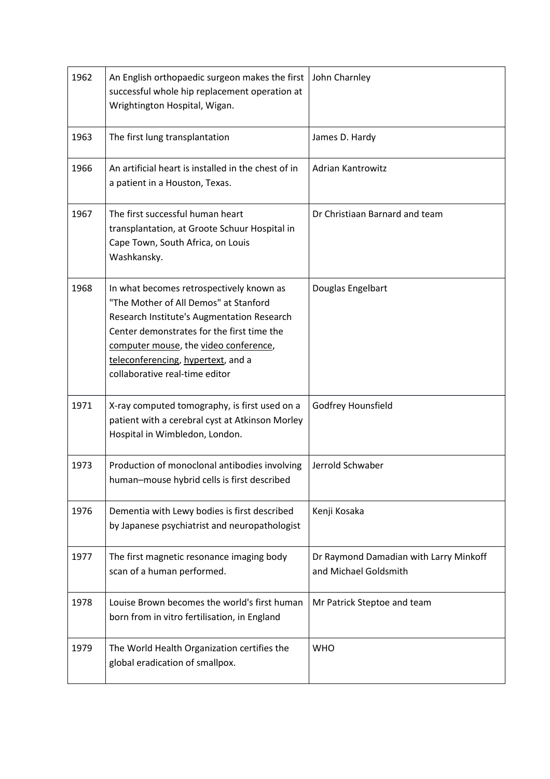| 1962 | An English orthopaedic surgeon makes the first<br>successful whole hip replacement operation at<br>Wrightington Hospital, Wigan.                                                                                                                                                               | John Charnley                                                   |
|------|------------------------------------------------------------------------------------------------------------------------------------------------------------------------------------------------------------------------------------------------------------------------------------------------|-----------------------------------------------------------------|
| 1963 | The first lung transplantation                                                                                                                                                                                                                                                                 | James D. Hardy                                                  |
| 1966 | An artificial heart is installed in the chest of in<br>a patient in a Houston, Texas.                                                                                                                                                                                                          | <b>Adrian Kantrowitz</b>                                        |
| 1967 | The first successful human heart<br>transplantation, at Groote Schuur Hospital in<br>Cape Town, South Africa, on Louis<br>Washkansky.                                                                                                                                                          | Dr Christiaan Barnard and team                                  |
| 1968 | In what becomes retrospectively known as<br>"The Mother of All Demos" at Stanford<br>Research Institute's Augmentation Research<br>Center demonstrates for the first time the<br>computer mouse, the video conference,<br>teleconferencing, hypertext, and a<br>collaborative real-time editor | Douglas Engelbart                                               |
| 1971 | X-ray computed tomography, is first used on a<br>patient with a cerebral cyst at Atkinson Morley<br>Hospital in Wimbledon, London.                                                                                                                                                             | Godfrey Hounsfield                                              |
| 1973 | Production of monoclonal antibodies involving<br>human-mouse hybrid cells is first described                                                                                                                                                                                                   | Jerrold Schwaber                                                |
| 1976 | Dementia with Lewy bodies is first described<br>by Japanese psychiatrist and neuropathologist                                                                                                                                                                                                  | Kenji Kosaka                                                    |
| 1977 | The first magnetic resonance imaging body<br>scan of a human performed.                                                                                                                                                                                                                        | Dr Raymond Damadian with Larry Minkoff<br>and Michael Goldsmith |
| 1978 | Louise Brown becomes the world's first human<br>born from in vitro fertilisation, in England                                                                                                                                                                                                   | Mr Patrick Steptoe and team                                     |
| 1979 | The World Health Organization certifies the<br>global eradication of smallpox.                                                                                                                                                                                                                 | <b>WHO</b>                                                      |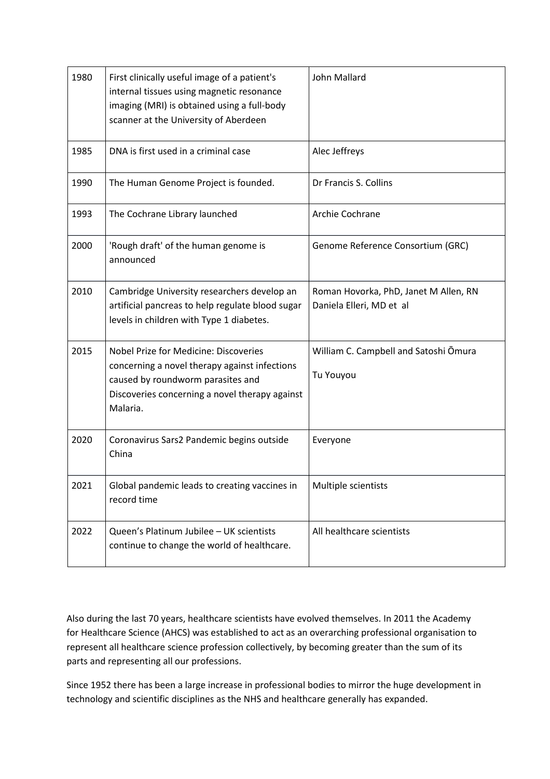| 1980 | First clinically useful image of a patient's<br>internal tissues using magnetic resonance<br>imaging (MRI) is obtained using a full-body<br>scanner at the University of Aberdeen                | <b>John Mallard</b>                                               |
|------|--------------------------------------------------------------------------------------------------------------------------------------------------------------------------------------------------|-------------------------------------------------------------------|
| 1985 | DNA is first used in a criminal case                                                                                                                                                             | Alec Jeffreys                                                     |
| 1990 | The Human Genome Project is founded.                                                                                                                                                             | Dr Francis S. Collins                                             |
| 1993 | The Cochrane Library launched                                                                                                                                                                    | Archie Cochrane                                                   |
| 2000 | 'Rough draft' of the human genome is<br>announced                                                                                                                                                | Genome Reference Consortium (GRC)                                 |
| 2010 | Cambridge University researchers develop an<br>artificial pancreas to help regulate blood sugar<br>levels in children with Type 1 diabetes.                                                      | Roman Hovorka, PhD, Janet M Allen, RN<br>Daniela Elleri, MD et al |
| 2015 | <b>Nobel Prize for Medicine: Discoveries</b><br>concerning a novel therapy against infections<br>caused by roundworm parasites and<br>Discoveries concerning a novel therapy against<br>Malaria. | William C. Campbell and Satoshi Omura<br>Tu Youyou                |
| 2020 | Coronavirus Sars2 Pandemic begins outside<br>China                                                                                                                                               | Everyone                                                          |
| 2021 | Global pandemic leads to creating vaccines in<br>record time                                                                                                                                     | Multiple scientists                                               |
| 2022 | Queen's Platinum Jubilee - UK scientists<br>continue to change the world of healthcare.                                                                                                          | All healthcare scientists                                         |

Also during the last 70 years, healthcare scientists have evolved themselves. In 2011 the Academy for Healthcare Science (AHCS) was established to act as an overarching professional organisation to represent all healthcare science profession collectively, by becoming greater than the sum of its parts and representing all our professions.

Since 1952 there has been a large increase in professional bodies to mirror the huge development in technology and scientific disciplines as the NHS and healthcare generally has expanded.